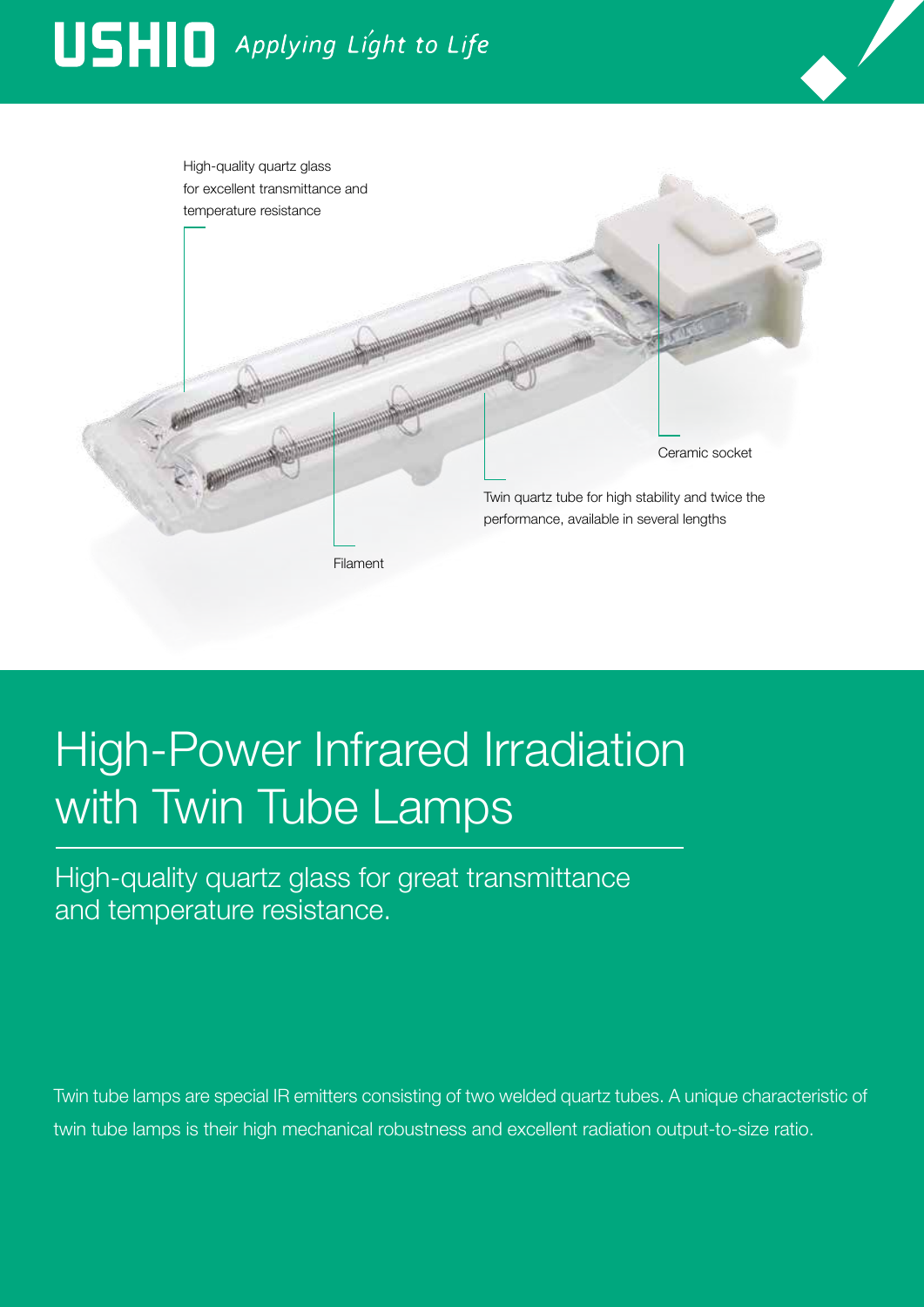# USHIO Applying Light to Life



## High-Power Infrared Irradiation with Twin Tube Lamps

High-quality quartz glass for great transmittance and temperature resistance.

Twin tube lamps are special IR emitters consisting of two welded quartz tubes. A unique characteristic of twin tube lamps is their high mechanical robustness and excellent radiation output-to-size ratio.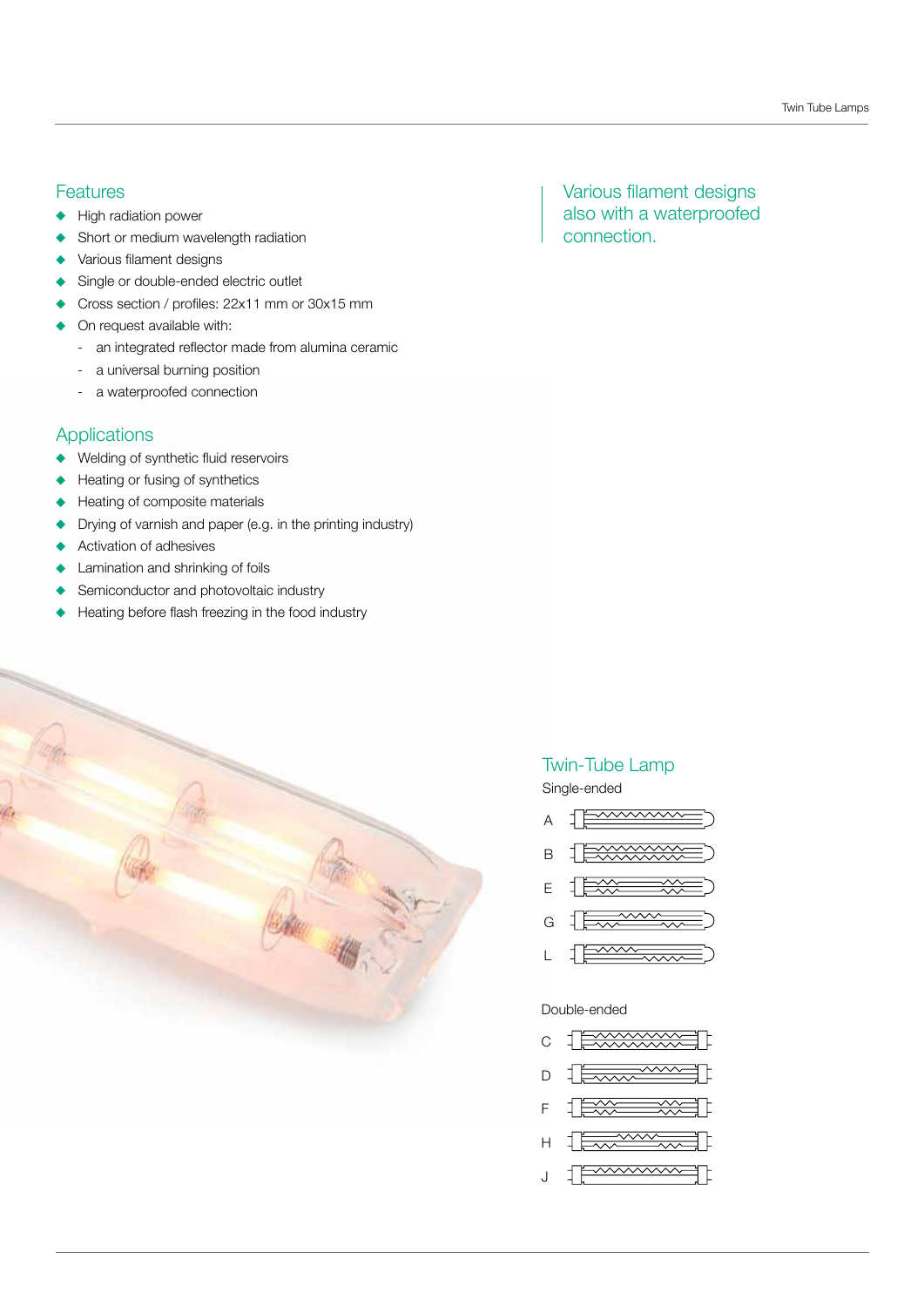#### **Features**

- High radiation power
- Short or medium wavelength radiation
- Various filament designs
- Single or double-ended electric outlet
- Cross section / profiles: 22x11 mm or 30x15 mm
- On request available with:
	- an integrated reflector made from alumina ceramic
	- a universal burning position
	- a waterproofed connection

#### Applications

- Welding of synthetic fluid reservoirs
- Heating or fusing of synthetics
- Heating of composite materials
- Drying of varnish and paper (e.g. in the printing industry)
- Activation of adhesives
- Lamination and shrinking of foils
- Semiconductor and photovoltaic industry
- Heating before flash freezing in the food industry



### Various filament designs also with a waterproofed connection.

### Twin-Tube Lamp

Single-ended

- $\frac{1}{2}$   $\frac{1}{2}$   $\frac{1}{2}$   $\frac{1}{2}$   $\frac{1}{2}$   $\frac{1}{2}$   $\frac{1}{2}$   $\frac{1}{2}$   $\frac{1}{2}$   $\frac{1}{2}$   $\frac{1}{2}$   $\frac{1}{2}$   $\frac{1}{2}$   $\frac{1}{2}$   $\frac{1}{2}$   $\frac{1}{2}$   $\frac{1}{2}$   $\frac{1}{2}$   $\frac{1}{2}$   $\frac{1}{2}$   $\frac{1}{2}$   $\frac{1}{2}$  A
- B
- E
- G
- $\frac{1}{2}$ L

#### Double-ended

- C d.
- D 1
- F
- 
- H
- wwwww Ҭ┠ J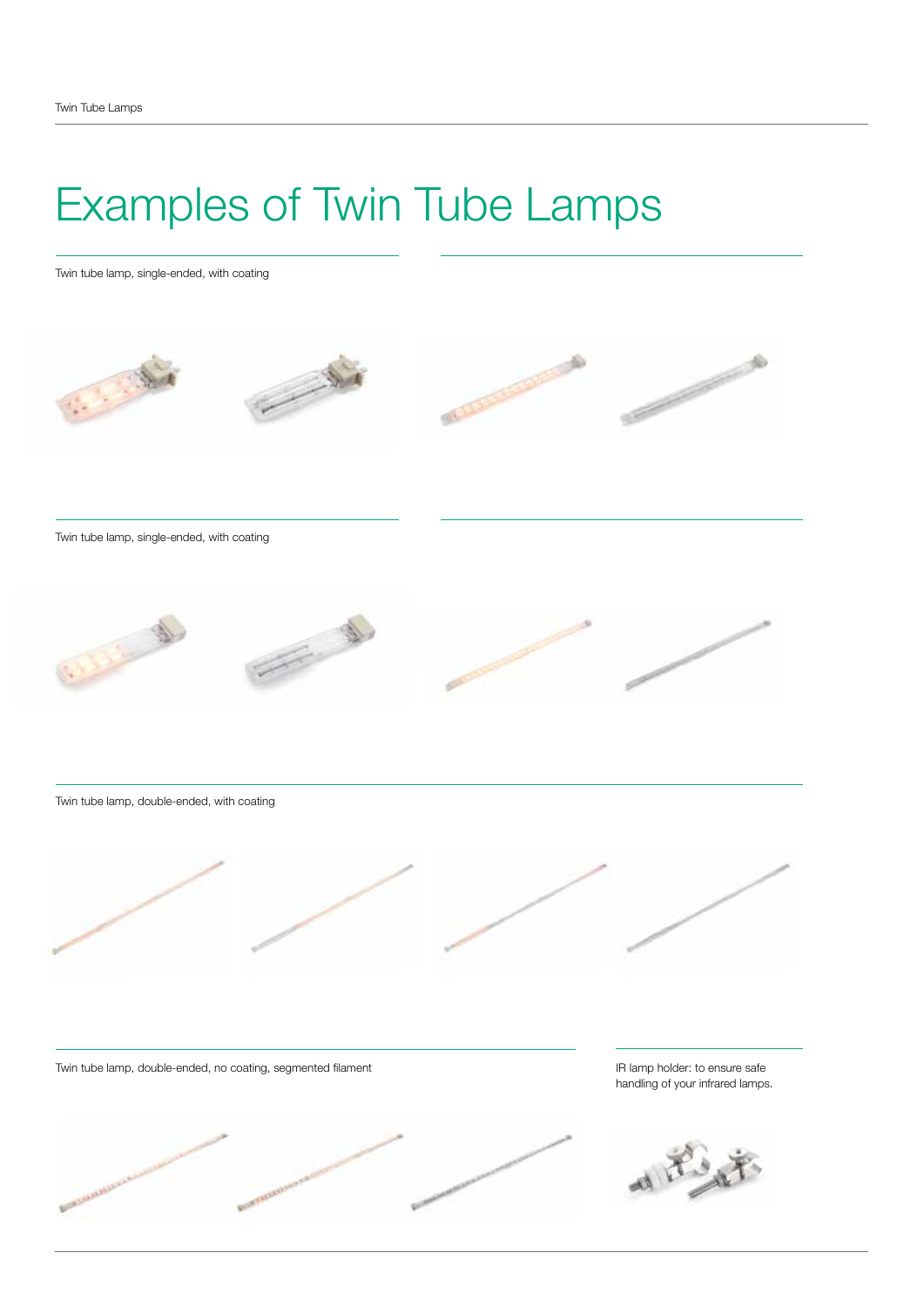### Examples of Twin Tube Lamps

Twin tube lamp, single-ended, with coating





Twin tube lamp, double-ended, with coating



Twin tube lamp, double-ended, no coating, segmented filament



IR lamp holder: to ensure safe handling of your infrared lamps.